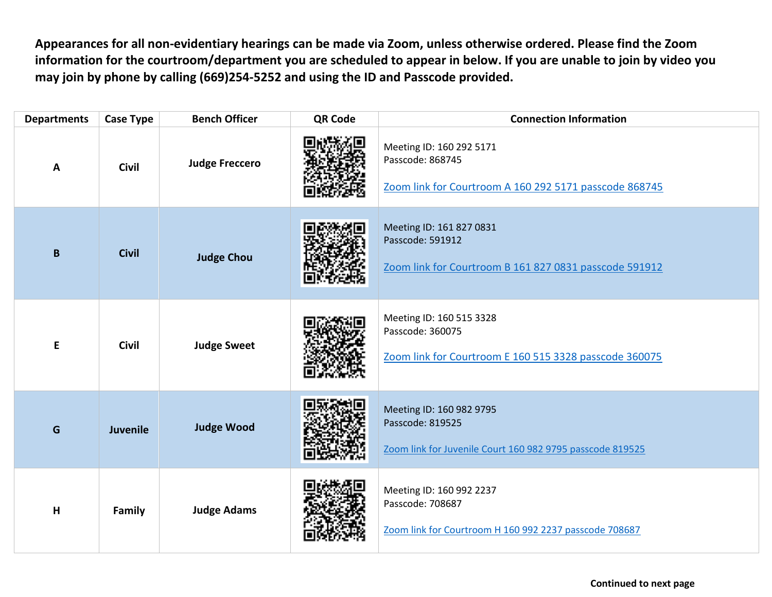**Appearances for all non-evidentiary hearings can be made via Zoom, unless otherwise ordered. Please find the Zoom information for the courtroom/department you are scheduled to appear in below. If you are unable to join by video you may join by phone by calling (669)254-5252 and using the ID and Passcode provided.**

| <b>Departments</b> | <b>Case Type</b> | <b>Bench Officer</b>  | <b>QR Code</b> | <b>Connection Information</b>                                                                             |
|--------------------|------------------|-----------------------|----------------|-----------------------------------------------------------------------------------------------------------|
| Α                  | <b>Civil</b>     | <b>Judge Freccero</b> |                | Meeting ID: 160 292 5171<br>Passcode: 868745<br>Zoom link for Courtroom A 160 292 5171 passcode 868745    |
| $\pmb B$           | <b>Civil</b>     | <b>Judge Chou</b>     |                | Meeting ID: 161 827 0831<br>Passcode: 591912<br>Zoom link for Courtroom B 161 827 0831 passcode 591912    |
| E                  | <b>Civil</b>     | <b>Judge Sweet</b>    |                | Meeting ID: 160 515 3328<br>Passcode: 360075<br>Zoom link for Courtroom E 160 515 3328 passcode 360075    |
| G                  | Juvenile         | <b>Judge Wood</b>     |                | Meeting ID: 160 982 9795<br>Passcode: 819525<br>Zoom link for Juvenile Court 160 982 9795 passcode 819525 |
| $\mathsf{H}$       | Family           | <b>Judge Adams</b>    |                | Meeting ID: 160 992 2237<br>Passcode: 708687<br>Zoom link for Courtroom H 160 992 2237 passcode 708687    |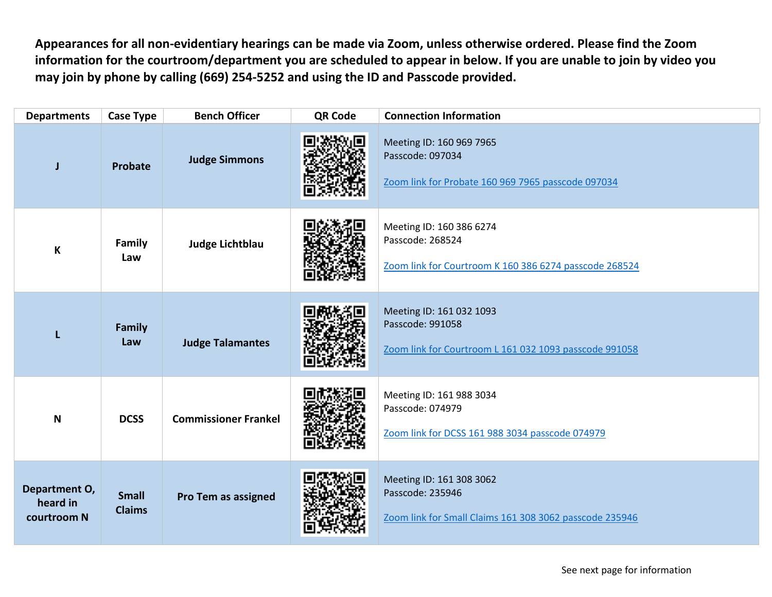**Appearances for all non-evidentiary hearings can be made via Zoom, unless otherwise ordered. Please find the Zoom information for the courtroom/department you are scheduled to appear in below. If you are unable to join by video you may join by phone by calling (669) 254-5252 and using the ID and Passcode provided.**

| <b>Departments</b>                       | <b>Case Type</b>              | <b>Bench Officer</b>        | <b>QR Code</b> | <b>Connection Information</b>                                                                           |
|------------------------------------------|-------------------------------|-----------------------------|----------------|---------------------------------------------------------------------------------------------------------|
| J                                        | Probate                       | <b>Judge Simmons</b>        |                | Meeting ID: 160 969 7965<br>Passcode: 097034<br>Zoom link for Probate 160 969 7965 passcode 097034      |
| $\boldsymbol{\mathsf{K}}$                | <b>Family</b><br>Law          | Judge Lichtblau             |                | Meeting ID: 160 386 6274<br>Passcode: 268524<br>Zoom link for Courtroom K 160 386 6274 passcode 268524  |
| L                                        | Family<br>Law                 | <b>Judge Talamantes</b>     |                | Meeting ID: 161 032 1093<br>Passcode: 991058<br>Zoom link for Courtroom L 161 032 1093 passcode 991058  |
| $\mathbf N$                              | <b>DCSS</b>                   | <b>Commissioner Frankel</b> |                | Meeting ID: 161 988 3034<br>Passcode: 074979<br>Zoom link for DCSS 161 988 3034 passcode 074979         |
| Department O,<br>heard in<br>courtroom N | <b>Small</b><br><b>Claims</b> | Pro Tem as assigned         |                | Meeting ID: 161 308 3062<br>Passcode: 235946<br>Zoom link for Small Claims 161 308 3062 passcode 235946 |